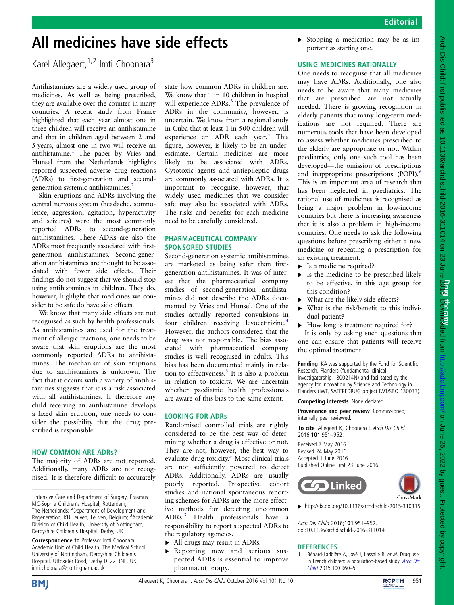## Editorial

# All medicines have side effects

Karel Allegaert,  $1,2$  Imti Choonara<sup>3</sup>

Antihistamines are a widely used group of medicines. As well as being prescribed, they are available over the counter in many countries. A recent study from France highlighted that each year almost one in three children will receive an antihistamine and that in children aged between 2 and 5 years, almost one in two will receive an antihistamine.<sup>1</sup> The paper by Vries and Hunsel from the Netherlands highlights reported suspected adverse drug reactions (ADRs) to first-generation and secondgeneration systemic antihistamines.<sup>2</sup>

Skin eruptions and ADRs involving the central nervous system (headache, somnolence, aggression, agitation, hyperactivity and seizures) were the most commonly reported ADRs to second-generation antihistamines. These ADRs are also the ADRs most frequently associated with firstgeneration antihistamines. Second-generation antihistamines are thought to be associated with fewer side effects. Their findings do not suggest that we should stop using antihistamines in children. They do, however, highlight that medicines we consider to be safe do have side effects.

We know that many side effects are not recognised as such by health professionals. As antihistamines are used for the treatment of allergic reactions, one needs to be aware that skin eruptions are the most commonly reported ADRs to antihistamines. The mechanism of skin eruptions due to antihistamines is unknown. The fact that it occurs with a variety of antihistamines suggests that it is a risk associated with all antihistamines. If therefore any child receiving an antihistamine develops a fixed skin eruption, one needs to consider the possibility that the drug prescribed is responsible.

#### HOW COMMON ARE ADRs?

The majority of ADRs are not reported. Additionally, many ADRs are not recognised. It is therefore difficult to accurately state how common ADRs in children are. We know that 1 in 10 children in hospital will experience ADRs.<sup>[3](#page-1-0)</sup> The prevalence of ADRs in the community, however, is uncertain. We know from a regional study in Cuba that at least 1 in 500 children will experience an ADR each year. $3$  This figure, however, is likely to be an underestimate. Certain medicines are more likely to be associated with ADRs. Cytotoxic agents and antiepileptic drugs are commonly associated with ADRs. It is important to recognise, however, that widely used medicines that we consider safe may also be associated with ADRs. The risks and benefits for each medicine need to be carefully considered.

#### PHARMACEUTICAL COMPANY SPONSORED STUDIES

Second-generation systemic antihistamines are marketed as being safer than firstgeneration antihistamines. It was of interest that the pharmaceutical company studies of second-generation antihistamines did not describe the ADRs documented by Vries and Hunsel. One of the studies actually reported convulsions in four children receiving levocetirizine[.4](#page-1-0) However, the authors considered that the drug was not responsible. The bias associated with pharmaceutical company studies is well recognised in adults. This bias has been documented mainly in relation to effectiveness.<sup>5</sup> It is also a problem in relation to toxicity. We are uncertain whether paediatric health professionals are aware of this bias to the same extent.

### LOOKING FOR ADRs

Randomised controlled trials are rightly considered to be the best way of determining whether a drug is effective or not. They are not, however, the best way to evaluate drug toxicity.[3](#page-1-0) Most clinical trials are not sufficiently powered to detect ADRs. Additionally, ADRs are usually poorly reported. Prospective cohort studies and national spontaneous reporting schemes for ADRs are the more effective methods for detecting uncommon ADRs[.3](#page-1-0) Health professionals have a responsibility to report suspected ADRs to the regulatory agencies.

- ▸ All drugs may result in ADRs.
- ▸ Reporting new and serious suspected ADRs is essential to improve pharmacotherapy.

▸ Stopping a medication may be as important as starting one.

## USING MEDICINES RATIONALLY

One needs to recognise that all medicines may have ADRs. Additionally, one also needs to be aware that many medicines that are prescribed are not actually needed. There is growing recognition in elderly patients that many long-term medications are not required. There are numerous tools that have been developed to assess whether medicines prescribed to the elderly are appropriate or not. Within paediatrics, only one such tool has been developed—the omission of prescriptions and inappropriate prescriptions (POPI).<sup>[6](#page-1-0)</sup> This is an important area of research that has been neglected in paediatrics. The rational use of medicines is recognised as being a major problem in low-income countries but there is increasing awareness that it is also a problem in high-income countries. One needs to ask the following questions before prescribing either a new medicine or repeating a prescription for an existing treatment.

- $\blacktriangleright$  Is a medicine required?
- $\triangleright$  Is the medicine to be prescribed likely to be effective, in this age group for this condition?
- ▸ What are the likely side effects?
- ▸ What is the risk/benefit to this individual patient?
- ▸ How long is treatment required for?

It is only by asking such questions that one can ensure that patients will receive the optimal treatment.

Funding KA was supported by the Fund for Scientific Research, Flanders (fundamental clinical investigatorship 1800214N) and facilitated by the agency for innovation by Science and Technology in Flanders (IWT, SAFEPEDRUG project IWT/SBO 130033).

#### Competing interests None declared.

Provenance and peer review Commissioned; internally peer reviewed.

To cite Allegaert K, Choonara I, Arch Dis Child 2016;101:951–952.

Received 7 May 2016 Revised 24 May 2016 Accepted 1 June 2016 Published Online First 23 June 2016



▸ <http://dx.doi.org/10.1136/archdischild-2015-310315>

Arch Dis Child 2016;101:951–952. doi:10.1136/archdischild-2016-311014

### **REFERENCES**

Bénard-Laribière A, Jové J, Lassalle R, et al. Drug use in French children: a population-based study. [Arch Dis](http://dx.doi.org/10.1136/archdischild-2014-307224) [Child](http://dx.doi.org/10.1136/archdischild-2014-307224) 2015;100:960–5.





<sup>&</sup>lt;sup>1</sup>Intensive Care and Department of Surgery, Erasmus MC-Sophia Children's Hospital, Rotterdam, The Netherlands; <sup>2</sup>Department of Development and Regeneration, KU Leuven, Leuven, Belgium; <sup>3</sup>Academic Division of Child Health, University of Nottingham, Derbyshire Children's Hospital, Derby, UK

Correspondence to Professor Imti Choonara, Academic Unit of Child Health, The Medical School, University of Nottingham, Derbyshire Children's Hospital, Uttoxeter Road, Derby DE22 3NE, UK; imti.choonara@nottingham.ac.uk